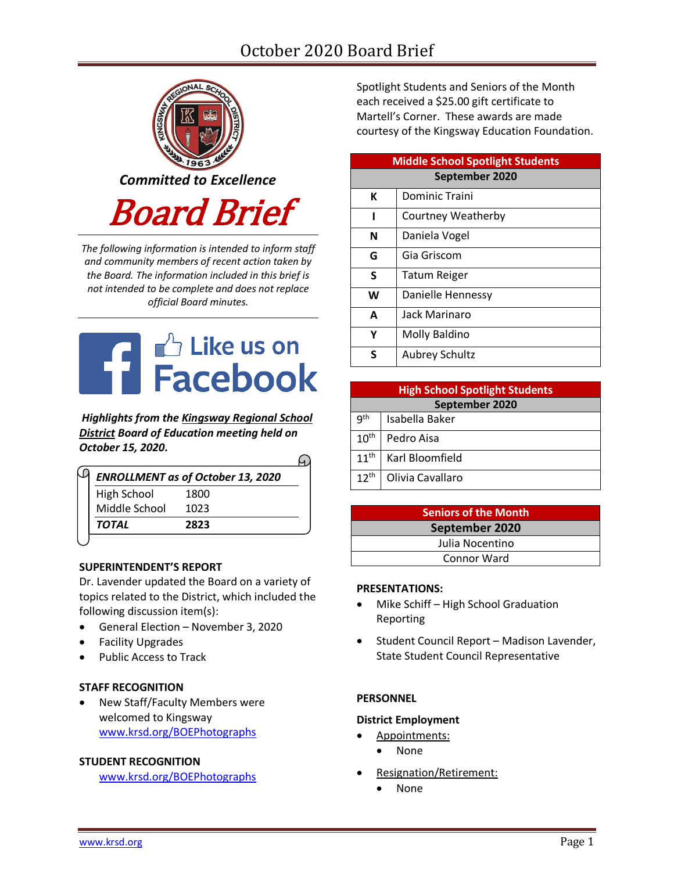# October 2020 Board Brief



*The following information is intended to inform staff and community members of recent action taken by the Board. The information included in this brief is not intended to be complete and does not replace official Board minutes.*



*Highlights from the [Kingsway Regional School](https://www.facebook.com/KingswayDragons)  [District](https://www.facebook.com/KingswayDragons) Board of Education meeting held on October 15, 2020.*  $\Omega$ 

|               | <b>ENROLLMENT as of October 13, 2020</b> |  |
|---------------|------------------------------------------|--|
| High School   | 1800                                     |  |
| Middle School | 1023                                     |  |
| TOTAL         | 2823                                     |  |
|               |                                          |  |

## **SUPERINTENDENT'S REPORT**

Dr. Lavender updated the Board on a variety of topics related to the District, which included the following discussion item(s):

- General Election November 3, 2020
- Facility Upgrades
- Public Access to Track

## **STAFF RECOGNITION**

 New Staff/Faculty Members were welcomed to Kingsway [www.krsd.org/BOEPhotographs](http://www.krsd.org/BOEPhotographs)

#### **STUDENT RECOGNITION**

[www.krsd.org/BOEPhotographs](http://www.krsd.org/BOEPhotographs)

Spotlight Students and Seniors of the Month each received a \$25.00 gift certificate to Martell's Corner. These awards are made courtesy of the Kingsway Education Foundation.

| <b>Middle School Spotlight Students</b> |                       |  |  |  |
|-----------------------------------------|-----------------------|--|--|--|
| September 2020                          |                       |  |  |  |
| К                                       | Dominic Traini        |  |  |  |
| ı                                       | Courtney Weatherby    |  |  |  |
| N                                       | Daniela Vogel         |  |  |  |
| G                                       | Gia Griscom           |  |  |  |
| S                                       | Tatum Reiger          |  |  |  |
| W                                       | Danielle Hennessy     |  |  |  |
| A                                       | Jack Marinaro         |  |  |  |
| Υ                                       | Molly Baldino         |  |  |  |
| ς                                       | <b>Aubrey Schultz</b> |  |  |  |

| <b>High School Spotlight Students</b> |                  |  |  |  |
|---------------------------------------|------------------|--|--|--|
| September 2020                        |                  |  |  |  |
| g <sup>th</sup>                       | Isabella Baker   |  |  |  |
| 10 <sup>th</sup>                      | Pedro Aisa       |  |  |  |
| 11 <sup>th</sup>                      | Karl Bloomfield  |  |  |  |
| $12^{th}$                             | Olivia Cavallaro |  |  |  |

**Seniors of the Month September 2020** Julia Nocentino Connor Ward

#### **PRESENTATIONS:**

- Mike Schiff High School Graduation Reporting
- Student Council Report Madison Lavender, State Student Council Representative

#### **PERSONNEL**

#### **District Employment**

- Appointments:
	- None
- Resignation/Retirement:
	- None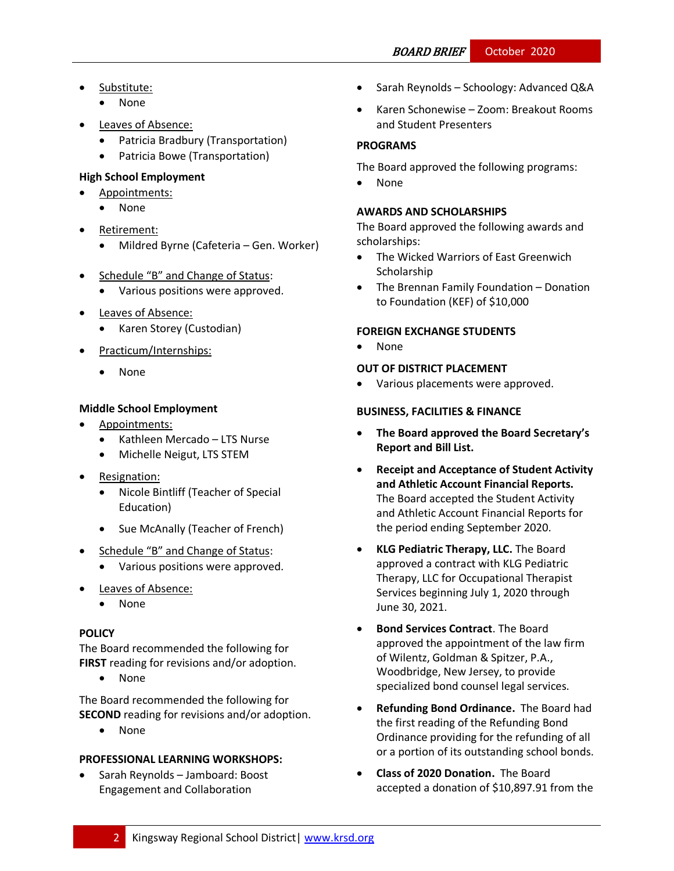- Substitute:
	- None
- Leaves of Absence:
	- Patricia Bradbury (Transportation)
	- Patricia Bowe (Transportation)

# **High School Employment**

- Appointments:
	- None
- Retirement:
	- Mildred Byrne (Cafeteria Gen. Worker)
- Schedule "B" and Change of Status:
	- Various positions were approved.
- Leaves of Absence:
	- Karen Storey (Custodian)
- Practicum/Internships:
	- None

# **Middle School Employment**

- Appointments:
	- Kathleen Mercado LTS Nurse
	- Michelle Neigut, LTS STEM
- Resignation:
	- Nicole Bintliff (Teacher of Special Education)
	- Sue McAnally (Teacher of French)
- Schedule "B" and Change of Status:
	- Various positions were approved.
- Leaves of Absence:
	- None

## **[POLICY](http://www.straussesmay.com/seportal/Public/DistrictPolicyTOC.aspx?id=f0cc945ef3894b8d9ad5f87d948ca425&PolicyID=)**

The Board recommended the following for **FIRST** reading for revisions and/or adoption.

None

The Board recommended the following for **SECOND** reading for revisions and/or adoption.

• None

## **PROFESSIONAL LEARNING WORKSHOPS:**

 Sarah Reynolds – Jamboard: Boost Engagement and Collaboration

- Sarah Reynolds Schoology: Advanced Q&A
- Karen Schonewise Zoom: Breakout Rooms and Student Presenters

# **PROGRAMS**

The Board approved the following programs:

• None

## **AWARDS AND SCHOLARSHIPS**

The Board approved the following awards and scholarships:

- The Wicked Warriors of East Greenwich Scholarship
- The Brennan Family Foundation Donation to Foundation (KEF) of \$10,000

# **FOREIGN EXCHANGE STUDENTS**

• None

## **OUT OF DISTRICT PLACEMENT**

Various placements were approved.

#### **BUSINESS, FACILITIES & FINANCE**

- **The Board approved the Board Secretary's Report and Bill List.**
- **Receipt and Acceptance of Student Activity and Athletic Account Financial Reports.**  The Board accepted the Student Activity and Athletic Account Financial Reports for the period ending September 2020.
- **KLG Pediatric Therapy, LLC.** The Board approved a contract with KLG Pediatric Therapy, LLC for Occupational Therapist Services beginning July 1, 2020 through June 30, 2021.
- **Bond Services Contract**. The Board approved the appointment of the law firm of Wilentz, Goldman & Spitzer, P.A., Woodbridge, New Jersey, to provide specialized bond counsel legal services.
- **Refunding Bond Ordinance.** The Board had the first reading of the Refunding Bond Ordinance providing for the refunding of all or a portion of its outstanding school bonds.
- **Class of 2020 Donation.** The Board accepted a donation of \$10,897.91 from the